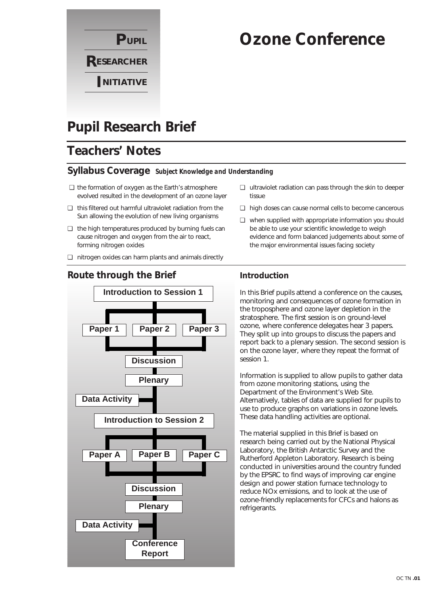

# **Ozone Conference**

# **Pupil Research Brief**

# **Teachers' Notes**

### **Syllabus Coverage** *Subject Knowledge and Understanding*

- ❏ the formation of oxygen as the Earth's atmosphere evolved resulted in the development of an ozone layer
- ❏ this filtered out harmful ultraviolet radiation from the Sun allowing the evolution of new living organisms
- ❏ the high temperatures produced by burning fuels can cause nitrogen and oxygen from the air to react, forming nitrogen oxides
- ❏ nitrogen oxides can harm plants and animals directly

# **Conference Report Introduction to Session 1 Paper 1 Paper 2 Discussion Plenary Data Activity Introduction to Session 2 Paper A Paper B Paper C Discussion Plenary Data Activity Paper 3**

### **Route through the Brief**

- ❏ ultraviolet radiation can pass through the skin to deeper tissue
- ❏ high doses can cause normal cells to become cancerous
- ❏ when supplied with appropriate information you should be able to use your scientific knowledge to weigh evidence and form balanced judgements about some of the major environmental issues facing society

## **Introduction**

In this Brief pupils attend a conference on the causes, monitoring and consequences of ozone formation in the troposphere and ozone layer depletion in the stratosphere. The first session is on ground-level ozone, where conference delegates hear 3 papers. They split up into groups to discuss the papers and report back to a plenary session. The second session is on the ozone layer, where they repeat the format of session 1.

Information is supplied to allow pupils to gather data from ozone monitoring stations, using the Department of the Environment's Web Site. Alternatively, tables of data are supplied for pupils to use to produce graphs on variations in ozone levels. These data handling activities are optional.

The material supplied in this Brief is based on research being carried out by the National Physical Laboratory, the British Antarctic Survey and the Rutherford Appleton Laboratory. Research is being conducted in universities around the country funded by the EPSRC to find ways of improving car engine design and power station furnace technology to reduce NOx emissions, and to look at the use of ozone-friendly replacements for CFCs and halons as refrigerants.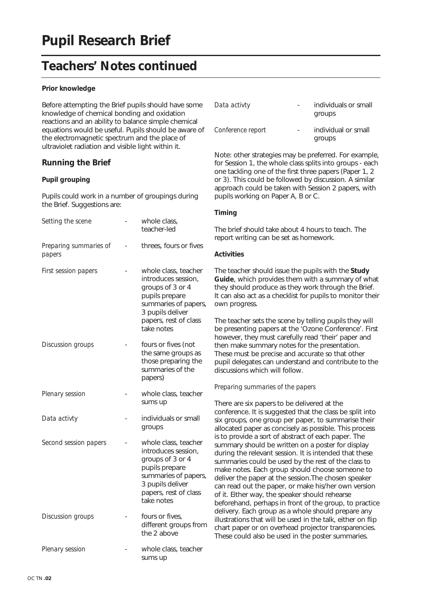# **Teachers' Notes continued**

### **Prior knowledge**

Before attempting the Brief pupils should have some knowledge of chemical bonding and oxidation reactions and an ability to balance simple chemical equations would be useful. Pupils should be aware of the electromagnetic spectrum and the place of ultraviolet radiation and visible light within it.

### **Running the Brief**

### **Pupil grouping**

Pupils could work in a number of groupings during the Brief. Suggestions are:

| Setting the scene                | whole class,<br>teacher-led                                                                                                                                          |
|----------------------------------|----------------------------------------------------------------------------------------------------------------------------------------------------------------------|
| Preparing summaries of<br>papers | threes, fours or fives                                                                                                                                               |
| <b>First session papers</b>      | whole class, teacher<br>introduces session,<br>groups of 3 or 4<br>pupils prepare<br>summaries of papers,<br>3 pupils deliver<br>papers, rest of class<br>take notes |
| Discussion groups                | fours or fives (not<br>the same groups as<br>those preparing the<br>summaries of the<br>papers)                                                                      |
| Plenary session                  | whole class, teacher<br>sums up                                                                                                                                      |
| Data activty                     | individuals or small<br>groups                                                                                                                                       |
| Second session papers            | whole class, teacher<br>introduces session,<br>groups of 3 or 4<br>pupils prepare<br>summaries of papers,<br>3 pupils deliver<br>papers, rest of class<br>take notes |
| Discussion groups                | fours or fives,<br>different groups from<br>the 2 above                                                                                                              |
| Plenary session                  | whole class, teacher<br>sums up                                                                                                                                      |

| Data activty      | individuals or small<br>groups |
|-------------------|--------------------------------|
| Conference report | individual or small<br>groups  |

Note: other strategies may be preferred. For example, for Session 1, the whole class splits into groups - each one tackling one of the first three papers (Paper 1, 2 or 3). This could be followed by discussion. A similar approach could be taken with Session 2 papers, with pupils working on Paper A, B or C.

### **Timing**

The brief should take about 4 hours to teach. The report writing can be set as homework.

### **Activities**

The teacher should issue the pupils with the **Study Guide**, which provides them with a summary of what they should produce as they work through the Brief. It can also act as a checklist for pupils to monitor their own progress.

The teacher sets the scene by telling pupils they will be presenting papers at the 'Ozone Conference'. First however, they must carefully read 'their' paper and then make summary notes for the presentation. These must be precise and accurate so that other pupil delegates can understand and contribute to the discussions which will follow.

#### *Preparing summaries of the papers*

There are six papers to be delivered at the conference. It is suggested that the class be split into six groups, one group per paper, to summarise their allocated paper as concisely as possible. This process is to provide a sort of abstract of each paper. The summary should be written on a poster for display during the relevant session. It is intended that these summaries could be used by the rest of the class to make notes. Each group should choose someone to deliver the paper at the session.The chosen speaker can read out the paper, or make his/her own version of it. Either way, the speaker should rehearse beforehand, perhaps in front of the group, to practice delivery. Each group as a whole should prepare any illustrations that will be used in the talk, either on flip chart paper or on overhead projector transparencies. These could also be used in the poster summaries.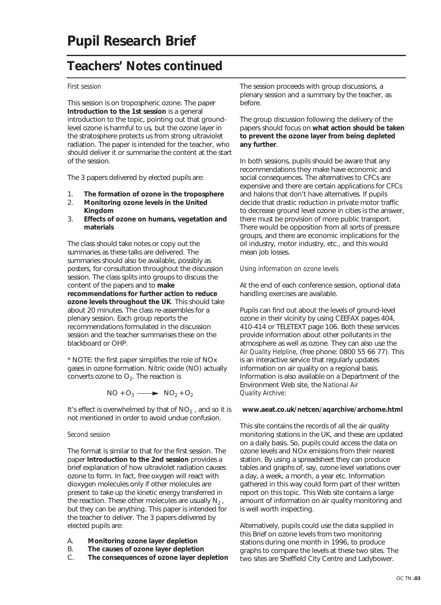# **Teachers' Notes continued**

#### *First session*

This session is on tropospheric ozone. The paper **Introduction to the 1st session** is a general introduction to the topic, pointing out that groundlevel ozone is harmful to us, but the ozone layer in the stratosphere protects us from strong ultraviolet radiation. The paper is intended for the teacher, who should deliver it or summarise the content at the start of the session.

The 3 papers delivered by elected pupils are:

- 1. **The formation of ozone in the troposphere**
- 2. **Monitoring ozone levels in the United Kingdom**
- 3. **Effects of ozone on humans, vegetation and materials**

The class should take notes or copy out the summaries as these talks are delivered. The summaries should also be available, possibly as posters, for consultation throughout the discussion session. The class splits into groups to discuss the content of the papers and to **make recommendations for further action to reduce ozone levels throughout the UK**. This should take about 20 minutes. The class re-assembles for a plenary session. Each group reports the recommendations formulated in the discussion session and the teacher summarises these on the blackboard or OHP.

\* NOTE: the first paper simplifies the role of NOx gases in ozone formation. Nitric oxide (NO) actually converts ozone to  $O<sub>2</sub>$ . The reaction is

$$
NO + O_3 \longrightarrow NO_2 + O_2
$$

It's effect is overwhelmed by that of  $NO<sub>2</sub>$ , and so it is not mentioned in order to avoid undue confusion.

#### *Second session*

The format is similar to that for the first session. The paper **Introduction to the 2nd session** provides a brief explanation of how ultraviolet radiation causes ozone to form. In fact, free oxygen will react with dioxygen molecules only if other molecules are present to take up the kinetic energy transferred in the reaction. These other molecules are usually  $N_2$ , but they can be anything. This paper is intended for the teacher to deliver. The 3 papers delivered by elected pupils are:

- A. **Monitoring ozone layer depletion**
- B. **The causes of ozone layer depletion**
- The consequences of ozone layer depletion

The session proceeds with group discussions, a plenary session and a summary by the teacher, as before.

The group discussion following the delivery of the papers should focus on **what action should be taken to prevent the ozone layer from being depleted any further**.

In both sessions, pupils should be aware that any recommendations they make have economic and social consequences. The alternatives to CFCs are expensive and there are certain applications for CFCs and halons that don't have alternatives. If pupils decide that drastic reduction in private motor traffic to decrease ground level ozone in cities is the answer, there must be provision of more public transport. There would be opposition from all sorts of pressure groups, and there are economic implications for the oil industry, motor industry, etc., and this would mean job losses.

#### *Using information on ozone levels*

At the end of each conference session, optional data handling exercises are available.

Pupils can find out about the levels of ground-level ozone in their vicinity by using CEEFAX pages 404, 410-414 or TELETEXT page 106. Both these services provide information about other pollutants in the atmosphere as well as ozone. They can also use the *Air Quality Helpline*, (free phone: 0800 55 66 77). This is an interactive service that regularly updates information on air quality on a regional basis. Information is also available on a Department of the Environment Web site, the *National Air Quality Archive*:

#### **www.aeat.co.uk/netcen/aqarchive/archome.html**

This site contains the records of all the air quality monitoring stations in the UK, and these are updated on a daily basis. So, pupils could access the data on ozone levels and NOx emissions from their nearest station. By using a spreadsheet they can produce tables and graphs of, say, ozone level variations over a day, a week, a month, a year etc. Information gathered in this way could form part of their written report on this topic. This Web site contains a large amount of information on air quality monitoring and is well worth inspecting.

Alternatively, pupils could use the data supplied in this Brief on ozone levels from two monitoring stations during one month in 1996, to produce graphs to compare the levels at these two sites. The two sites are Sheffield City Centre and Ladybower.